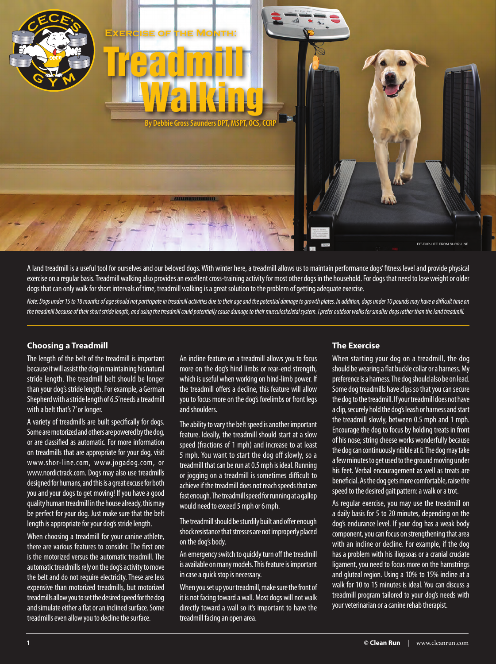

A land treadmill is a useful tool for ourselves and our beloved dogs. With winter here, a treadmill allows us to maintain performance dogs' fitness level and provide physical exercise on a regular basis. Treadmill walking also provides an excellent cross-training activity for most other dogs in the household. For dogs that need to lose weight or older dogs that can only walk for short intervals of time, treadmill walking is a great solution to the problem of getting adequate exercise.

*Note: Dogs under 15 to 18 months of age should not participate in treadmill activities due to their age and the potential damage to growth plates. In addition, dogs under 10 pounds may have a difficult time on the treadmill because of their short stride length, and using the treadmill could potentially cause damage to their musculoskeletal system. I prefer outdoor walks for smaller dogs rather than the land treadmill.*

### **Choosing a Treadmill**

The length of the belt of the treadmill is important because it will assist the dog in maintaining his natural stride length. The treadmill belt should be longer than your dog's stride length. For example, a German Shepherd with a stride length of 6.5' needs a treadmill with a belt that's 7' or longer.

A variety of treadmills are built specifically for dogs. Some are motorized and others are powered by the dog, or are classified as automatic. For more information on treadmills that are appropriate for your dog, visit www.shor-line.com, www.jogadog.com, or www.nordictrack.com. Dogs may also use treadmills designed for humans, and this is a great excuse for both you and your dogs to get moving! If you have a good quality human treadmill in the house already, this may be perfect for your dog. Just make sure that the belt length is appropriate for your dog's stride length.

When choosing a treadmill for your canine athlete, there are various features to consider. The first one is the motorized versus the automatic treadmill. The automatic treadmills rely on the dog's activity to move the belt and do not require electricity. These are less expensive than motorized treadmills, but motorized treadmills allow you to set the desired speed for the dog and simulate either a flat or an inclined surface. Some treadmills even allow you to decline the surface.

An incline feature on a treadmill allows you to focus more on the dog's hind limbs or rear-end strength, which is useful when working on hind-limb power. If the treadmill offers a decline, this feature will allow you to focus more on the dog's forelimbs or front legs and shoulders.

The ability to vary the belt speed is another important feature. Ideally, the treadmill should start at a slow speed (fractions of 1 mph) and increase to at least 5 mph. You want to start the dog off slowly, so a treadmill that can be run at 0.5 mph is ideal. Running or jogging on a treadmill is sometimes difficult to achieve if the treadmill does not reach speeds that are fast enough. The treadmill speed for running at a gallop would need to exceed 5 mph or 6 mph.

The treadmill should be sturdily built and offer enough shock resistance that stresses are not improperly placed on the dog's body.

An emergency switch to quickly turn off the treadmill is available on many models. This feature is important in case a quick stop is necessary.

When you set up your treadmill, make sure the front of it is not facing toward a wall. Most dogs will not walk directly toward a wall so it's important to have the treadmill facing an open area.

### **The Exercise**

When starting your dog on a treadmill, the dog should be wearing a flat buckle collar or a harness. My preference is a harness. The dog should also be on lead. Some dog treadmills have clips so that you can secure the dog to the treadmill. If your treadmill does not have a clip, securely hold the dog's leash or harness and start the treadmill slowly, between 0.5 mph and 1 mph. Encourage the dog to focus by holding treats in front of his nose; string cheese works wonderfully because the dog can continuously nibble at it. The dog may take a few minutes to get used to the ground moving under his feet. Verbal encouragement as well as treats are beneficial. As the dog gets more comfortable, raise the speed to the desired gait pattern: a walk or a trot.

As regular exercise, you may use the treadmill on a daily basis for 5 to 20 minutes, depending on the dog's endurance level. If your dog has a weak body component, you can focus on strengthening that area with an incline or decline. For example, if the dog has a problem with his iliopsoas or a cranial cruciate ligament, you need to focus more on the hamstrings and gluteal region. Using a 10% to 15% incline at a walk for 10 to 15 minutes is ideal. You can discuss a treadmill program tailored to your dog's needs with your veterinarian or a canine rehab therapist.